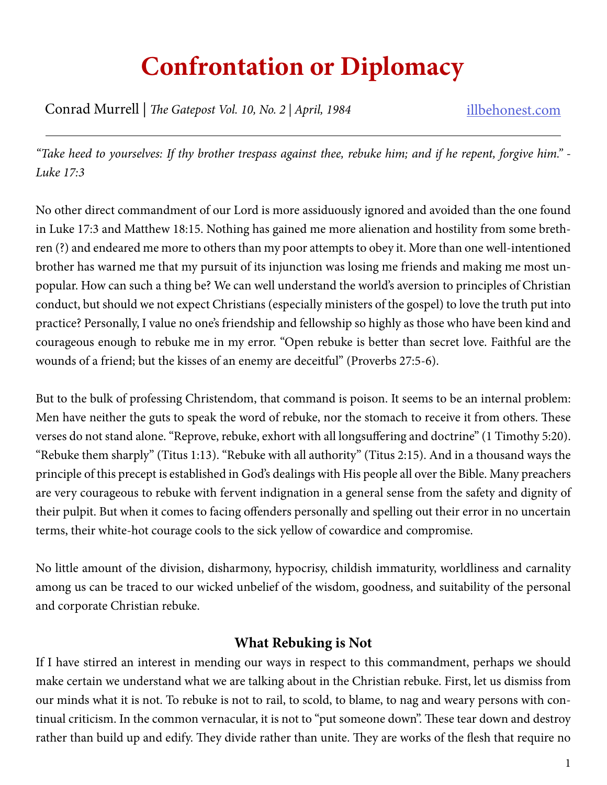# **Confrontation or Diplomacy**

Conrad Murrell | *The Gatepost Vol. 10, No. 2 | April, 1984* illbehonest.com

*"Take heed to yourselves: If thy brother trespass against thee, rebuke him; and if he repent, forgive him." - Luke 17:3*

No other direct commandment of our Lord is more assiduously ignored and avoided than the one found in Luke 17:3 and Matthew 18:15. Nothing has gained me more alienation and hostility from some brethren (?) and endeared me more to others than my poor attempts to obey it. More than one well-intentioned brother has warned me that my pursuit of its injunction was losing me friends and making me most unpopular. How can such a thing be? We can well understand the world's aversion to principles of Christian conduct, but should we not expect Christians (especially ministers of the gospel) to love the truth put into practice? Personally, I value no one's friendship and fellowship so highly as those who have been kind and courageous enough to rebuke me in my error. "Open rebuke is better than secret love. Faithful are the wounds of a friend; but the kisses of an enemy are deceitful" (Proverbs 27:5-6).

But to the bulk of professing Christendom, that command is poison. It seems to be an internal problem: Men have neither the guts to speak the word of rebuke, nor the stomach to receive it from others. These verses do not stand alone. "Reprove, rebuke, exhort with all longsuffering and doctrine" (1 Timothy 5:20). "Rebuke them sharply" (Titus 1:13). "Rebuke with all authority" (Titus 2:15). And in a thousand ways the principle of this precept is established in God's dealings with His people all over the Bible. Many preachers are very courageous to rebuke with fervent indignation in a general sense from the safety and dignity of their pulpit. But when it comes to facing offenders personally and spelling out their error in no uncertain terms, their white-hot courage cools to the sick yellow of cowardice and compromise.

No little amount of the division, disharmony, hypocrisy, childish immaturity, worldliness and carnality among us can be traced to our wicked unbelief of the wisdom, goodness, and suitability of the personal and corporate Christian rebuke.

## **What Rebuking is Not**

If I have stirred an interest in mending our ways in respect to this commandment, perhaps we should make certain we understand what we are talking about in the Christian rebuke. First, let us dismiss from our minds what it is not. To rebuke is not to rail, to scold, to blame, to nag and weary persons with continual criticism. In the common vernacular, it is not to "put someone down". These tear down and destroy rather than build up and edify. They divide rather than unite. They are works of the flesh that require no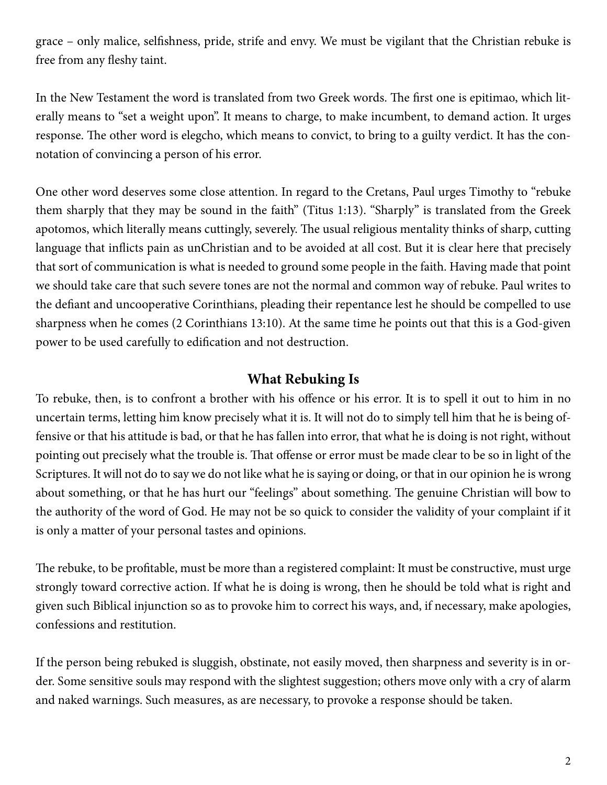grace – only malice, selfishness, pride, strife and envy. We must be vigilant that the Christian rebuke is free from any fleshy taint.

In the New Testament the word is translated from two Greek words. The first one is epitimao, which literally means to "set a weight upon". It means to charge, to make incumbent, to demand action. It urges response. The other word is elegcho, which means to convict, to bring to a guilty verdict. It has the connotation of convincing a person of his error.

One other word deserves some close attention. In regard to the Cretans, Paul urges Timothy to "rebuke them sharply that they may be sound in the faith" (Titus 1:13). "Sharply" is translated from the Greek apotomos, which literally means cuttingly, severely. The usual religious mentality thinks of sharp, cutting language that inflicts pain as unChristian and to be avoided at all cost. But it is clear here that precisely that sort of communication is what is needed to ground some people in the faith. Having made that point we should take care that such severe tones are not the normal and common way of rebuke. Paul writes to the defiant and uncooperative Corinthians, pleading their repentance lest he should be compelled to use sharpness when he comes (2 Corinthians 13:10). At the same time he points out that this is a God-given power to be used carefully to edification and not destruction.

#### **What Rebuking Is**

To rebuke, then, is to confront a brother with his offence or his error. It is to spell it out to him in no uncertain terms, letting him know precisely what it is. It will not do to simply tell him that he is being offensive or that his attitude is bad, or that he has fallen into error, that what he is doing is not right, without pointing out precisely what the trouble is. That offense or error must be made clear to be so in light of the Scriptures. It will not do to say we do not like what he is saying or doing, or that in our opinion he is wrong about something, or that he has hurt our "feelings" about something. The genuine Christian will bow to the authority of the word of God. He may not be so quick to consider the validity of your complaint if it is only a matter of your personal tastes and opinions.

The rebuke, to be profitable, must be more than a registered complaint: It must be constructive, must urge strongly toward corrective action. If what he is doing is wrong, then he should be told what is right and given such Biblical injunction so as to provoke him to correct his ways, and, if necessary, make apologies, confessions and restitution.

If the person being rebuked is sluggish, obstinate, not easily moved, then sharpness and severity is in order. Some sensitive souls may respond with the slightest suggestion; others move only with a cry of alarm and naked warnings. Such measures, as are necessary, to provoke a response should be taken.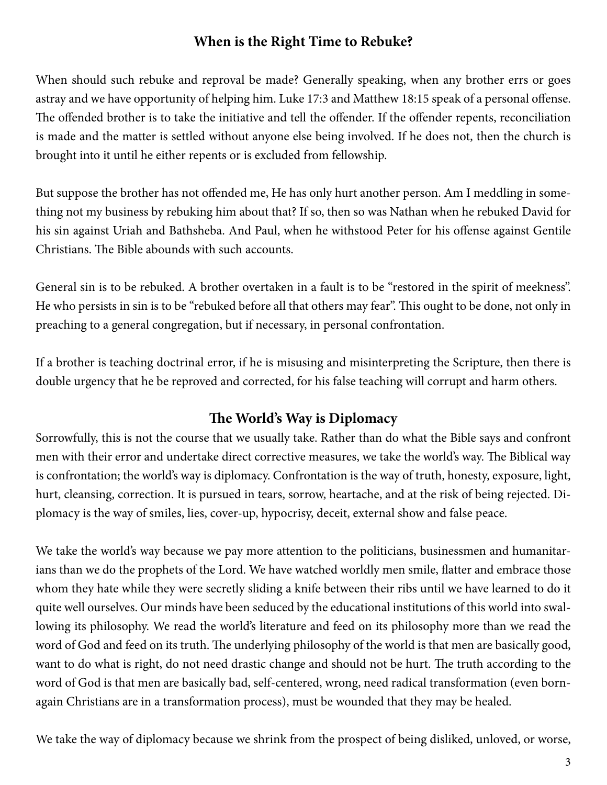# **When is the Right Time to Rebuke?**

When should such rebuke and reproval be made? Generally speaking, when any brother errs or goes astray and we have opportunity of helping him. Luke 17:3 and Matthew 18:15 speak of a personal offense. The offended brother is to take the initiative and tell the offender. If the offender repents, reconciliation is made and the matter is settled without anyone else being involved. If he does not, then the church is brought into it until he either repents or is excluded from fellowship.

But suppose the brother has not offended me, He has only hurt another person. Am I meddling in something not my business by rebuking him about that? If so, then so was Nathan when he rebuked David for his sin against Uriah and Bathsheba. And Paul, when he withstood Peter for his offense against Gentile Christians. The Bible abounds with such accounts.

General sin is to be rebuked. A brother overtaken in a fault is to be "restored in the spirit of meekness". He who persists in sin is to be "rebuked before all that others may fear". This ought to be done, not only in preaching to a general congregation, but if necessary, in personal confrontation.

If a brother is teaching doctrinal error, if he is misusing and misinterpreting the Scripture, then there is double urgency that he be reproved and corrected, for his false teaching will corrupt and harm others.

## **The World's Way is Diplomacy**

Sorrowfully, this is not the course that we usually take. Rather than do what the Bible says and confront men with their error and undertake direct corrective measures, we take the world's way. The Biblical way is confrontation; the world's way is diplomacy. Confrontation is the way of truth, honesty, exposure, light, hurt, cleansing, correction. It is pursued in tears, sorrow, heartache, and at the risk of being rejected. Diplomacy is the way of smiles, lies, cover-up, hypocrisy, deceit, external show and false peace.

We take the world's way because we pay more attention to the politicians, businessmen and humanitarians than we do the prophets of the Lord. We have watched worldly men smile, flatter and embrace those whom they hate while they were secretly sliding a knife between their ribs until we have learned to do it quite well ourselves. Our minds have been seduced by the educational institutions of this world into swallowing its philosophy. We read the world's literature and feed on its philosophy more than we read the word of God and feed on its truth. The underlying philosophy of the world is that men are basically good, want to do what is right, do not need drastic change and should not be hurt. The truth according to the word of God is that men are basically bad, self-centered, wrong, need radical transformation (even bornagain Christians are in a transformation process), must be wounded that they may be healed.

We take the way of diplomacy because we shrink from the prospect of being disliked, unloved, or worse,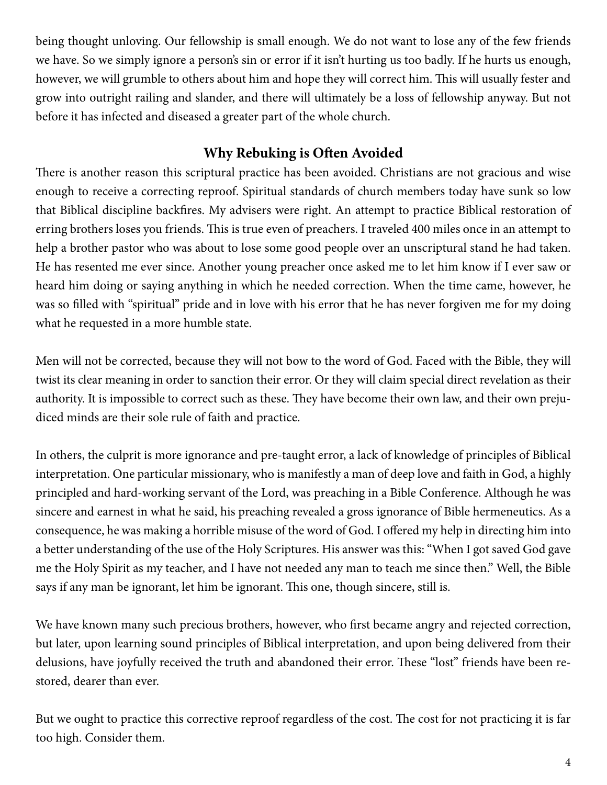being thought unloving. Our fellowship is small enough. We do not want to lose any of the few friends we have. So we simply ignore a person's sin or error if it isn't hurting us too badly. If he hurts us enough, however, we will grumble to others about him and hope they will correct him. This will usually fester and grow into outright railing and slander, and there will ultimately be a loss of fellowship anyway. But not before it has infected and diseased a greater part of the whole church.

# **Why Rebuking is Often Avoided**

There is another reason this scriptural practice has been avoided. Christians are not gracious and wise enough to receive a correcting reproof. Spiritual standards of church members today have sunk so low that Biblical discipline backfires. My advisers were right. An attempt to practice Biblical restoration of erring brothers loses you friends. This is true even of preachers. I traveled 400 miles once in an attempt to help a brother pastor who was about to lose some good people over an unscriptural stand he had taken. He has resented me ever since. Another young preacher once asked me to let him know if I ever saw or heard him doing or saying anything in which he needed correction. When the time came, however, he was so filled with "spiritual" pride and in love with his error that he has never forgiven me for my doing what he requested in a more humble state.

Men will not be corrected, because they will not bow to the word of God. Faced with the Bible, they will twist its clear meaning in order to sanction their error. Or they will claim special direct revelation as their authority. It is impossible to correct such as these. They have become their own law, and their own prejudiced minds are their sole rule of faith and practice.

In others, the culprit is more ignorance and pre-taught error, a lack of knowledge of principles of Biblical interpretation. One particular missionary, who is manifestly a man of deep love and faith in God, a highly principled and hard-working servant of the Lord, was preaching in a Bible Conference. Although he was sincere and earnest in what he said, his preaching revealed a gross ignorance of Bible hermeneutics. As a consequence, he was making a horrible misuse of the word of God. I offered my help in directing him into a better understanding of the use of the Holy Scriptures. His answer was this: "When I got saved God gave me the Holy Spirit as my teacher, and I have not needed any man to teach me since then." Well, the Bible says if any man be ignorant, let him be ignorant. This one, though sincere, still is.

We have known many such precious brothers, however, who first became angry and rejected correction, but later, upon learning sound principles of Biblical interpretation, and upon being delivered from their delusions, have joyfully received the truth and abandoned their error. These "lost" friends have been restored, dearer than ever.

But we ought to practice this corrective reproof regardless of the cost. The cost for not practicing it is far too high. Consider them.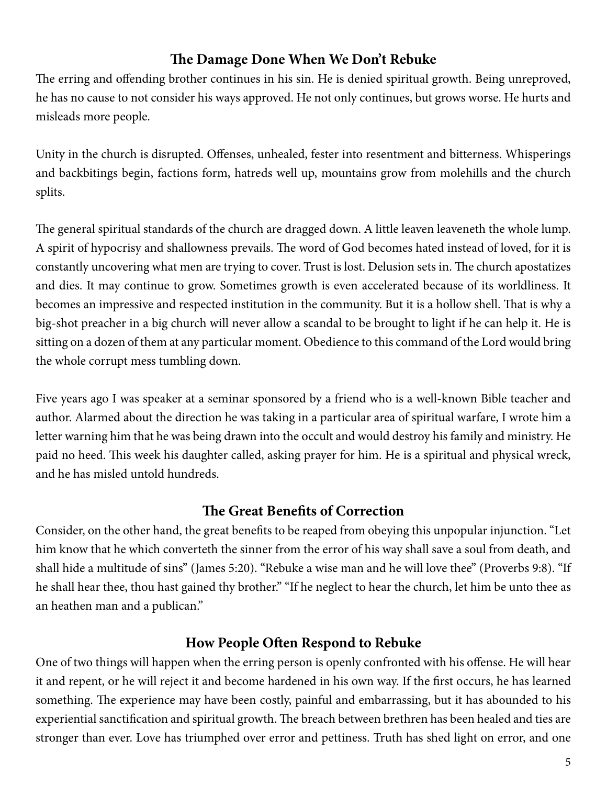#### **The Damage Done When We Don't Rebuke**

The erring and offending brother continues in his sin. He is denied spiritual growth. Being unreproved, he has no cause to not consider his ways approved. He not only continues, but grows worse. He hurts and misleads more people.

Unity in the church is disrupted. Offenses, unhealed, fester into resentment and bitterness. Whisperings and backbitings begin, factions form, hatreds well up, mountains grow from molehills and the church splits.

The general spiritual standards of the church are dragged down. A little leaven leaveneth the whole lump. A spirit of hypocrisy and shallowness prevails. The word of God becomes hated instead of loved, for it is constantly uncovering what men are trying to cover. Trust is lost. Delusion sets in. The church apostatizes and dies. It may continue to grow. Sometimes growth is even accelerated because of its worldliness. It becomes an impressive and respected institution in the community. But it is a hollow shell. That is why a big-shot preacher in a big church will never allow a scandal to be brought to light if he can help it. He is sitting on a dozen of them at any particular moment. Obedience to this command of the Lord would bring the whole corrupt mess tumbling down.

Five years ago I was speaker at a seminar sponsored by a friend who is a well-known Bible teacher and author. Alarmed about the direction he was taking in a particular area of spiritual warfare, I wrote him a letter warning him that he was being drawn into the occult and would destroy his family and ministry. He paid no heed. This week his daughter called, asking prayer for him. He is a spiritual and physical wreck, and he has misled untold hundreds.

# **The Great Benefits of Correction**

Consider, on the other hand, the great benefits to be reaped from obeying this unpopular injunction. "Let him know that he which converteth the sinner from the error of his way shall save a soul from death, and shall hide a multitude of sins" (James 5:20). "Rebuke a wise man and he will love thee" (Proverbs 9:8). "If he shall hear thee, thou hast gained thy brother." "If he neglect to hear the church, let him be unto thee as an heathen man and a publican."

## **How People Often Respond to Rebuke**

One of two things will happen when the erring person is openly confronted with his offense. He will hear it and repent, or he will reject it and become hardened in his own way. If the first occurs, he has learned something. The experience may have been costly, painful and embarrassing, but it has abounded to his experiential sanctification and spiritual growth. The breach between brethren has been healed and ties are stronger than ever. Love has triumphed over error and pettiness. Truth has shed light on error, and one